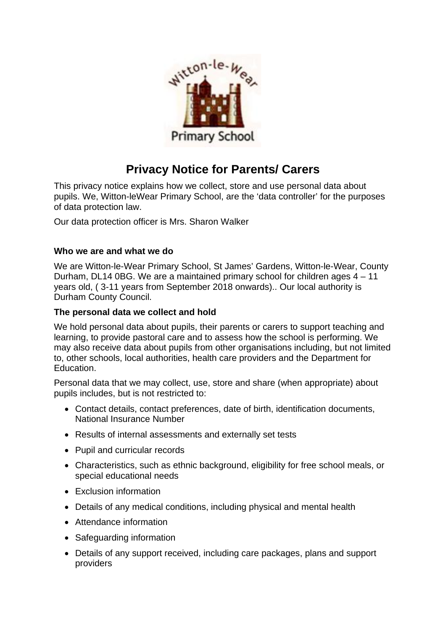

# **Privacy Notice for Parents/ Carers**

This privacy notice explains how we collect, store and use personal data about pupils. We, Witton-leWear Primary School, are the 'data controller' for the purposes of data protection law.

Our data protection officer is Mrs. Sharon Walker

#### **Who we are and what we do**

We are Witton-le-Wear Primary School, St James' Gardens, Witton-le-Wear, County Durham, DL14 0BG. We are a maintained primary school for children ages 4 – 11 years old, ( 3-11 years from September 2018 onwards).. Our local authority is Durham County Council.

### **The personal data we collect and hold**

We hold personal data about pupils, their parents or carers to support teaching and learning, to provide pastoral care and to assess how the school is performing. We may also receive data about pupils from other organisations including, but not limited to, other schools, local authorities, health care providers and the Department for Education.

Personal data that we may collect, use, store and share (when appropriate) about pupils includes, but is not restricted to:

- Contact details, contact preferences, date of birth, identification documents, National Insurance Number
- Results of internal assessments and externally set tests
- Pupil and curricular records
- Characteristics, such as ethnic background, eligibility for free school meals, or special educational needs
- Exclusion information
- Details of any medical conditions, including physical and mental health
- Attendance information
- Safeguarding information
- Details of any support received, including care packages, plans and support providers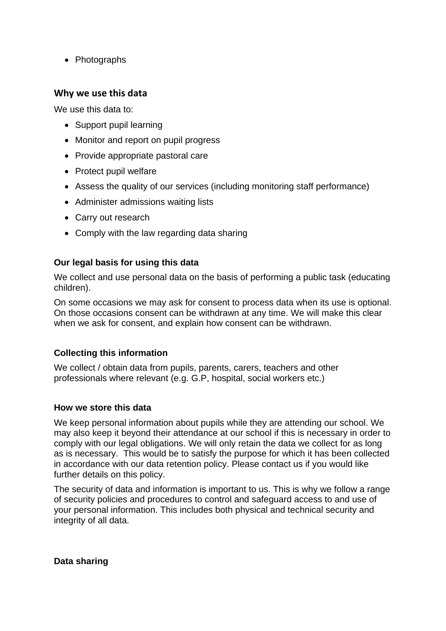• Photographs

## **Why we use this data**

We use this data to:

- Support pupil learning
- Monitor and report on pupil progress
- Provide appropriate pastoral care
- Protect pupil welfare
- Assess the quality of our services (including monitoring staff performance)
- Administer admissions waiting lists
- Carry out research
- Comply with the law regarding data sharing

## **Our legal basis for using this data**

We collect and use personal data on the basis of performing a public task (educating children).

On some occasions we may ask for consent to process data when its use is optional. On those occasions consent can be withdrawn at any time. We will make this clear when we ask for consent, and explain how consent can be withdrawn.

## **Collecting this information**

We collect / obtain data from pupils, parents, carers, teachers and other professionals where relevant (e.g. G.P, hospital, social workers etc.)

### **How we store this data**

We keep personal information about pupils while they are attending our school. We may also keep it beyond their attendance at our school if this is necessary in order to comply with our legal obligations. We will only retain the data we collect for as long as is necessary. This would be to satisfy the purpose for which it has been collected in accordance with our data retention policy. Please contact us if you would like further details on this policy.

The security of data and information is important to us. This is why we follow a range of security policies and procedures to control and safeguard access to and use of your personal information. This includes both physical and technical security and integrity of all data.

**Data sharing**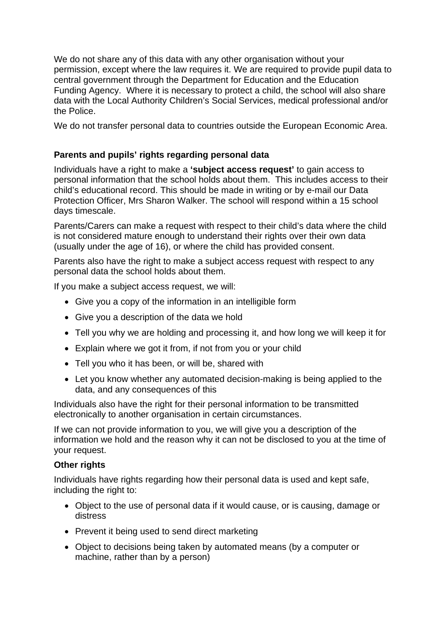We do not share any of this data with any other organisation without your permission, except where the law requires it. We are required to provide pupil data to central government through the Department for Education and the Education Funding Agency. Where it is necessary to protect a child, the school will also share data with the Local Authority Children's Social Services, medical professional and/or the Police.

We do not transfer personal data to countries outside the European Economic Area.

### **Parents and pupils' rights regarding personal data**

Individuals have a right to make a **'subject access request'** to gain access to personal information that the school holds about them. This includes access to their child's educational record. This should be made in writing or by e-mail our Data Protection Officer, Mrs Sharon Walker. The school will respond within a 15 school days timescale.

Parents/Carers can make a request with respect to their child's data where the child is not considered mature enough to understand their rights over their own data (usually under the age of 16), or where the child has provided consent.

Parents also have the right to make a subject access request with respect to any personal data the school holds about them.

If you make a subject access request, we will:

- Give you a copy of the information in an intelligible form
- Give you a description of the data we hold
- Tell you why we are holding and processing it, and how long we will keep it for
- Explain where we got it from, if not from you or your child
- Tell you who it has been, or will be, shared with
- Let you know whether any automated decision-making is being applied to the data, and any consequences of this

Individuals also have the right for their personal information to be transmitted electronically to another organisation in certain circumstances.

If we can not provide information to you, we will give you a description of the information we hold and the reason why it can not be disclosed to you at the time of your request.

#### **Other rights**

Individuals have rights regarding how their personal data is used and kept safe, including the right to:

- Object to the use of personal data if it would cause, or is causing, damage or distress
- Prevent it being used to send direct marketing
- Object to decisions being taken by automated means (by a computer or machine, rather than by a person)